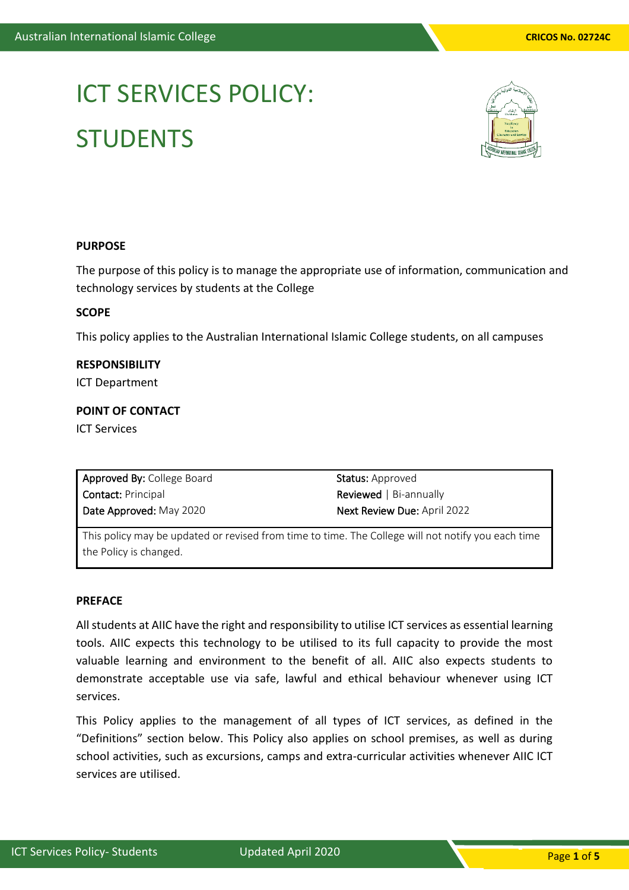# ICT SERVICES POLICY: **STUDENTS**



## **PURPOSE**

The purpose of this policy is to manage the appropriate use of information, communication and technology services by students at the College

# **SCOPE**

This policy applies to the Australian International Islamic College students, on all campuses

**RESPONSIBILITY** ICT Department

# **POINT OF CONTACT**

ICT Services

| <b>Approved By: College Board</b> | <b>Status:</b> Approved             |
|-----------------------------------|-------------------------------------|
| <b>Contact:</b> Principal         | <b>Reviewed</b> $\vert$ Bi-annually |
| Date Approved: May 2020           | <b>Next Review Due: April 2022</b>  |

This policy may be updated or revised from time to time. The College will not notify you each time the Policy is changed.

## **PREFACE**

All students at AIIC have the right and responsibility to utilise ICT services as essential learning tools. AIIC expects this technology to be utilised to its full capacity to provide the most valuable learning and environment to the benefit of all. AIIC also expects students to demonstrate acceptable use via safe, lawful and ethical behaviour whenever using ICT services.

This Policy applies to the management of all types of ICT services, as defined in the "Definitions" section below. This Policy also applies on school premises, as well as during school activities, such as excursions, camps and extra-curricular activities whenever AIIC ICT services are utilised.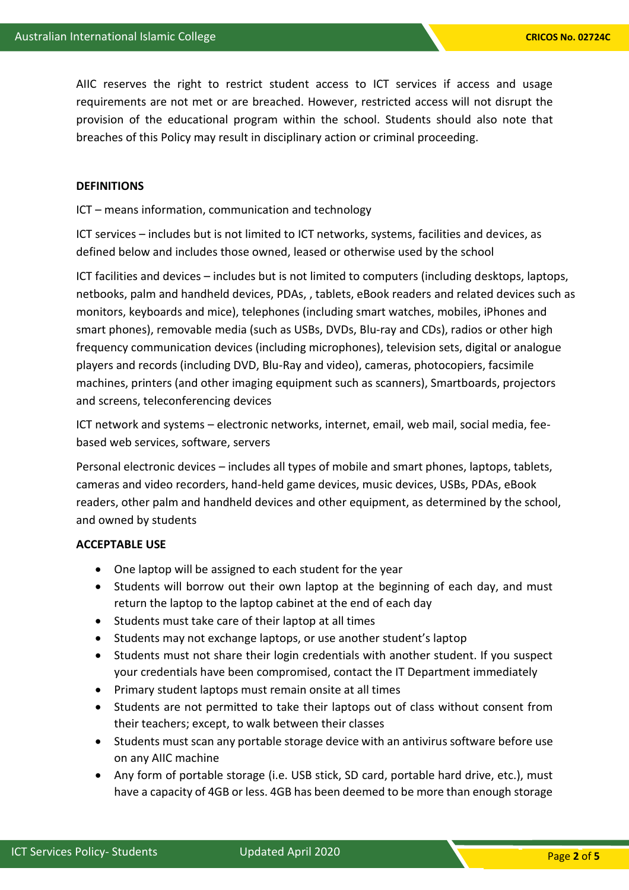AIIC reserves the right to restrict student access to ICT services if access and usage requirements are not met or are breached. However, restricted access will not disrupt the provision of the educational program within the school. Students should also note that breaches of this Policy may result in disciplinary action or criminal proceeding.

#### **DEFINITIONS**

ICT – means information, communication and technology

ICT services – includes but is not limited to ICT networks, systems, facilities and devices, as defined below and includes those owned, leased or otherwise used by the school

ICT facilities and devices – includes but is not limited to computers (including desktops, laptops, netbooks, palm and handheld devices, PDAs, , tablets, eBook readers and related devices such as monitors, keyboards and mice), telephones (including smart watches, mobiles, iPhones and smart phones), removable media (such as USBs, DVDs, Blu-ray and CDs), radios or other high frequency communication devices (including microphones), television sets, digital or analogue players and records (including DVD, Blu-Ray and video), cameras, photocopiers, facsimile machines, printers (and other imaging equipment such as scanners), Smartboards, projectors and screens, teleconferencing devices

ICT network and systems – electronic networks, internet, email, web mail, social media, feebased web services, software, servers

Personal electronic devices – includes all types of mobile and smart phones, laptops, tablets, cameras and video recorders, hand-held game devices, music devices, USBs, PDAs, eBook readers, other palm and handheld devices and other equipment, as determined by the school, and owned by students

## **ACCEPTABLE USE**

- One laptop will be assigned to each student for the year
- Students will borrow out their own laptop at the beginning of each day, and must return the laptop to the laptop cabinet at the end of each day
- Students must take care of their laptop at all times
- Students may not exchange laptops, or use another student's laptop
- Students must not share their login credentials with another student. If you suspect your credentials have been compromised, contact the IT Department immediately
- Primary student laptops must remain onsite at all times
- Students are not permitted to take their laptops out of class without consent from their teachers; except, to walk between their classes
- Students must scan any portable storage device with an antivirus software before use on any AIIC machine
- Any form of portable storage (i.e. USB stick, SD card, portable hard drive, etc.), must have a capacity of 4GB or less. 4GB has been deemed to be more than enough storage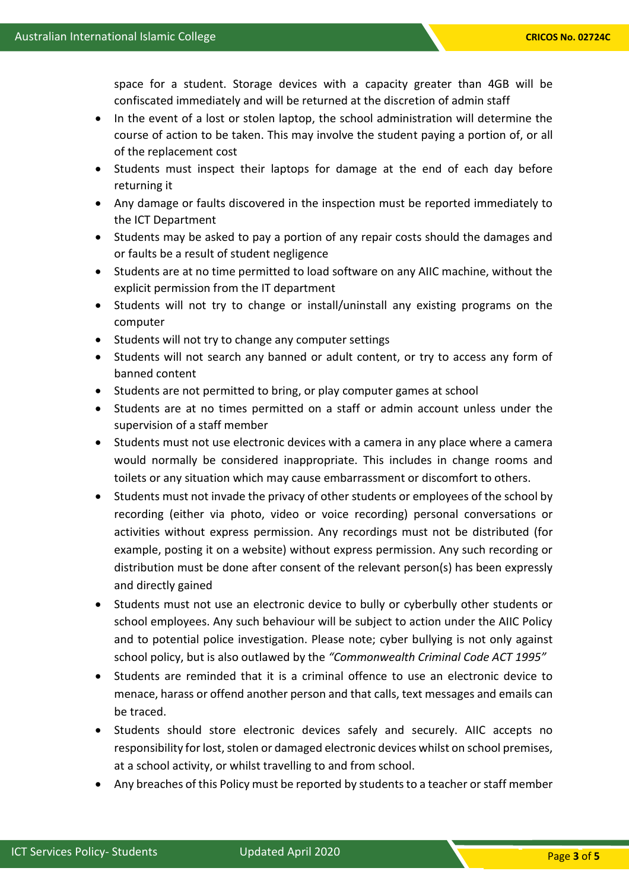space for a student. Storage devices with a capacity greater than 4GB will be confiscated immediately and will be returned at the discretion of admin staff

- In the event of a lost or stolen laptop, the school administration will determine the course of action to be taken. This may involve the student paying a portion of, or all of the replacement cost
- Students must inspect their laptops for damage at the end of each day before returning it
- Any damage or faults discovered in the inspection must be reported immediately to the ICT Department
- Students may be asked to pay a portion of any repair costs should the damages and or faults be a result of student negligence
- Students are at no time permitted to load software on any AIIC machine, without the explicit permission from the IT department
- Students will not try to change or install/uninstall any existing programs on the computer
- Students will not try to change any computer settings
- Students will not search any banned or adult content, or try to access any form of banned content
- Students are not permitted to bring, or play computer games at school
- Students are at no times permitted on a staff or admin account unless under the supervision of a staff member
- Students must not use electronic devices with a camera in any place where a camera would normally be considered inappropriate. This includes in change rooms and toilets or any situation which may cause embarrassment or discomfort to others.
- Students must not invade the privacy of other students or employees of the school by recording (either via photo, video or voice recording) personal conversations or activities without express permission. Any recordings must not be distributed (for example, posting it on a website) without express permission. Any such recording or distribution must be done after consent of the relevant person(s) has been expressly and directly gained
- Students must not use an electronic device to bully or cyberbully other students or school employees. Any such behaviour will be subject to action under the AIIC Policy and to potential police investigation. Please note; cyber bullying is not only against school policy, but is also outlawed by the *"Commonwealth Criminal Code ACT 1995"*
- Students are reminded that it is a criminal offence to use an electronic device to menace, harass or offend another person and that calls, text messages and emails can be traced.
- Students should store electronic devices safely and securely. AIIC accepts no responsibility for lost, stolen or damaged electronic devices whilst on school premises, at a school activity, or whilst travelling to and from school.
- Any breaches of this Policy must be reported by students to a teacher or staff member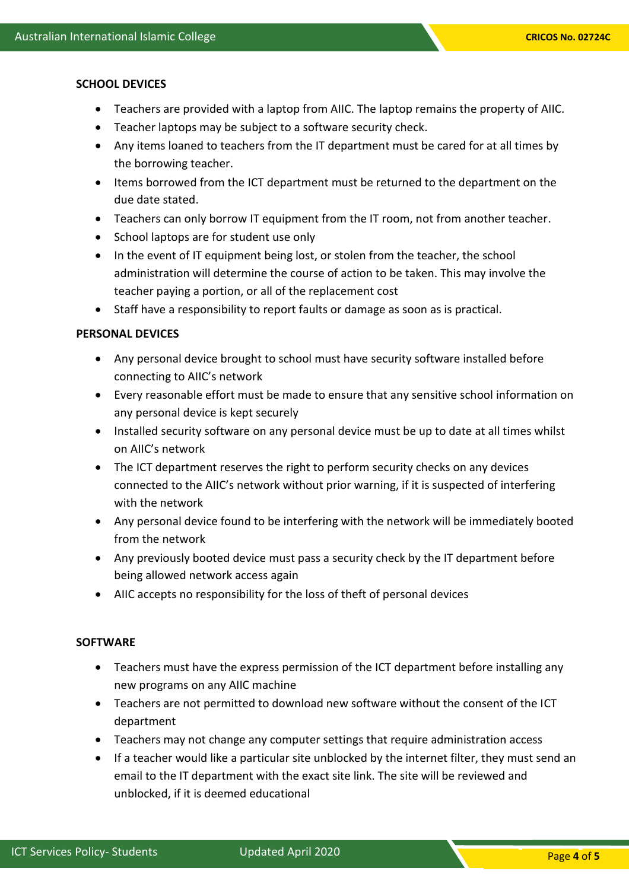#### **SCHOOL DEVICES**

- Teachers are provided with a laptop from AIIC. The laptop remains the property of AIIC.
- Teacher laptops may be subject to a software security check.
- Any items loaned to teachers from the IT department must be cared for at all times by the borrowing teacher.
- Items borrowed from the ICT department must be returned to the department on the due date stated.
- Teachers can only borrow IT equipment from the IT room, not from another teacher.
- School laptops are for student use only
- In the event of IT equipment being lost, or stolen from the teacher, the school administration will determine the course of action to be taken. This may involve the teacher paying a portion, or all of the replacement cost
- Staff have a responsibility to report faults or damage as soon as is practical.

# **PERSONAL DEVICES**

- Any personal device brought to school must have security software installed before connecting to AIIC's network
- Every reasonable effort must be made to ensure that any sensitive school information on any personal device is kept securely
- Installed security software on any personal device must be up to date at all times whilst on AIIC's network
- The ICT department reserves the right to perform security checks on any devices connected to the AIIC's network without prior warning, if it is suspected of interfering with the network
- Any personal device found to be interfering with the network will be immediately booted from the network
- Any previously booted device must pass a security check by the IT department before being allowed network access again
- AIIC accepts no responsibility for the loss of theft of personal devices

# **SOFTWARE**

- Teachers must have the express permission of the ICT department before installing any new programs on any AIIC machine
- Teachers are not permitted to download new software without the consent of the ICT department
- Teachers may not change any computer settings that require administration access
- If a teacher would like a particular site unblocked by the internet filter, they must send an email to the IT department with the exact site link. The site will be reviewed and unblocked, if it is deemed educational